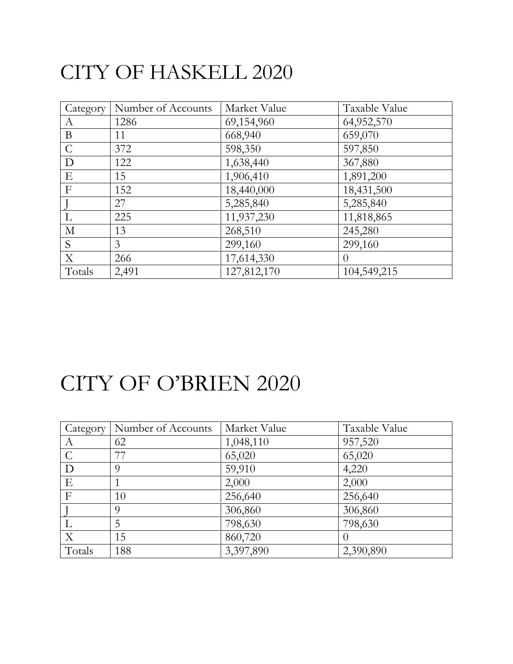#### CITY OF HASKELL 2020

| Category       | Number of Accounts | Market Value | Taxable Value  |
|----------------|--------------------|--------------|----------------|
| A              | 1286               | 69,154,960   | 64,952,570     |
| B              | 11                 | 668,940      | 659,070        |
| $\mathcal{C}$  | 372                | 598,350      | 597,850        |
| D              | 122                | 1,638,440    | 367,880        |
| E              | 15                 | 1,906,410    | 1,891,200      |
| $\mathbf{F}$   | 152                | 18,440,000   | 18,431,500     |
|                | 27                 | 5,285,840    | 5,285,840      |
| L              | 225                | 11,937,230   | 11,818,865     |
| $\mathbf{M}$   | 13                 | 268,510      | 245,280        |
| S              | 3                  | 299,160      | 299,160        |
| $\overline{X}$ | 266                | 17,614,330   | $\overline{0}$ |
| Totals         | 2,491              | 127,812,170  | 104,549,215    |

### CITY OF O'BRIEN 2020

| Category      | Number of Accounts | Market Value | Taxable Value |
|---------------|--------------------|--------------|---------------|
| А             | 62                 | 1,048,110    | 957,520       |
| $\mathcal{C}$ | 77                 | 65,020       | 65,020        |
| D             | Q                  | 59,910       | 4,220         |
| E             |                    | 2,000        | 2,000         |
| $\mathbf{F}$  | 10                 | 256,640      | 256,640       |
|               | $\Omega$           | 306,860      | 306,860       |
|               | 5                  | 798,630      | 798,630       |
| X             | 15                 | 860,720      |               |
| Totals        | 188                | 3,397,890    | 2,390,890     |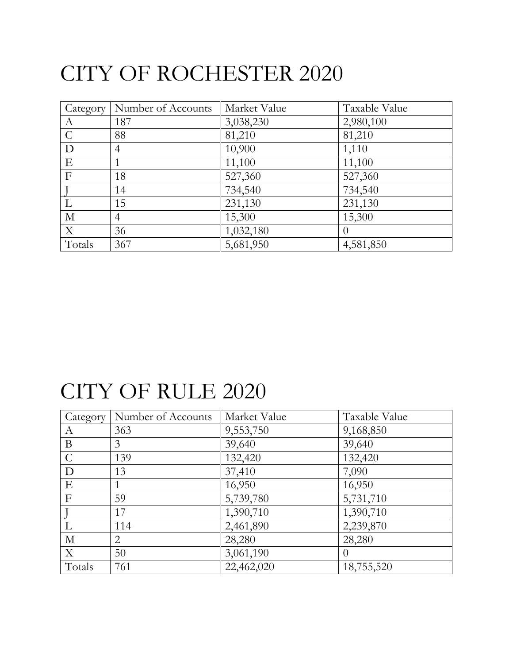# CITY OF ROCHESTER 2020

| Category      | Number of Accounts | Market Value | Taxable Value |
|---------------|--------------------|--------------|---------------|
| A             | 187                | 3,038,230    | 2,980,100     |
| $\mathcal{C}$ | 88                 | 81,210       | 81,210        |
| D             | $\overline{4}$     | 10,900       | 1,110         |
| E             |                    | 11,100       | 11,100        |
| $\mathbf{F}$  | 18                 | 527,360      | 527,360       |
|               | 14                 | 734,540      | 734,540       |
|               | 15                 | 231,130      | 231,130       |
| $\mathbf{M}$  | $\overline{4}$     | 15,300       | 15,300        |
| $\mathbf X$   | 36                 | 1,032,180    | $\theta$      |
| Totals        | 367                | 5,681,950    | 4,581,850     |

### CITY OF RULE 2020

| Category      | Number of Accounts | Market Value | Taxable Value |
|---------------|--------------------|--------------|---------------|
| A             | 363                | 9,553,750    | 9,168,850     |
| B             | 3                  | 39,640       | 39,640        |
| $\mathcal{C}$ | 139                | 132,420      | 132,420       |
| D             | 13                 | 37,410       | 7,090         |
| Ε             |                    | 16,950       | 16,950        |
| F             | 59                 | 5,739,780    | 5,731,710     |
|               | 17                 | 1,390,710    | 1,390,710     |
|               | 114                | 2,461,890    | 2,239,870     |
| $\mathbf{M}$  | $\overline{2}$     | 28,280       | 28,280        |
| $\mathbf{X}$  | 50                 | 3,061,190    | $\Omega$      |
| Totals        | 761                | 22,462,020   | 18,755,520    |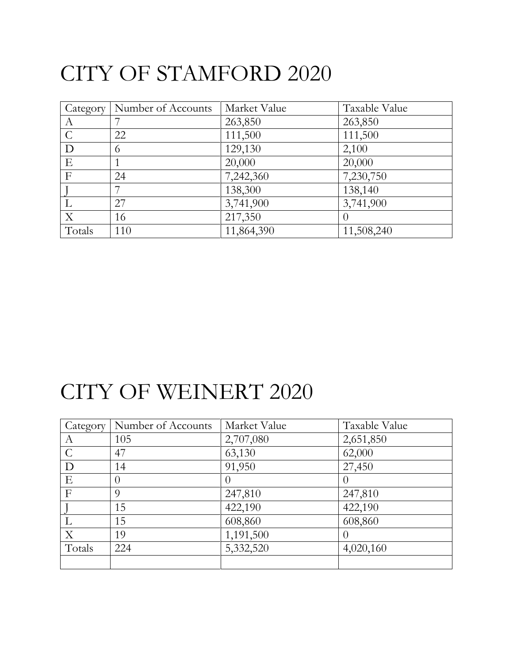# CITY OF STAMFORD 2020

|                  | Category   Number of Accounts | Market Value | Taxable Value    |
|------------------|-------------------------------|--------------|------------------|
| $\boldsymbol{A}$ |                               | 263,850      | 263,850          |
| $\mathcal{C}$    | 22                            | 111,500      | 111,500          |
| D                | 6                             | 129,130      | 2,100            |
| E                |                               | 20,000       | 20,000           |
| $\mathbf{F}$     | 24                            | 7,242,360    | 7,230,750        |
|                  |                               | 138,300      | 138,140          |
|                  | 27                            | 3,741,900    | 3,741,900        |
| X                | 16                            | 217,350      | $\left( \right)$ |
| Totals           | 110                           | 11,864,390   | 11,508,240       |

#### CITY OF WEINERT 2020

| Category       | Number of Accounts | Market Value | Taxable Value |
|----------------|--------------------|--------------|---------------|
| А              | 105                | 2,707,080    | 2,651,850     |
| $\mathcal{C}$  | 47                 | 63,130       | 62,000        |
| D              | 14                 | 91,950       | 27,450        |
| E              |                    |              | $\theta$      |
| $\overline{F}$ | $\Omega$           | 247,810      | 247,810       |
|                | 15                 | 422,190      | 422,190       |
|                | 15                 | 608,860      | 608,860       |
| X              | 19                 | 1,191,500    | $\theta$      |
| Totals         | 224                | 5,332,520    | 4,020,160     |
|                |                    |              |               |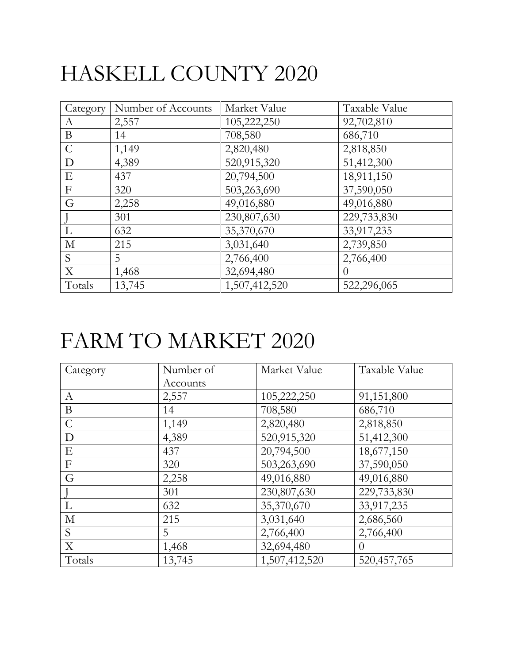# HASKELL COUNTY 2020

| Category      | Number of Accounts | Market Value  | Taxable Value |
|---------------|--------------------|---------------|---------------|
| A             | 2,557              | 105,222,250   | 92,702,810    |
| $\bf{B}$      | 14                 | 708,580       | 686,710       |
| $\mathcal{C}$ | 1,149              | 2,820,480     | 2,818,850     |
| D             | 4,389              | 520,915,320   | 51,412,300    |
| ${\bf E}$     | 437                | 20,794,500    | 18,911,150    |
| $\mathbf{F}$  | 320                | 503,263,690   | 37,590,050    |
| G             | 2,258              | 49,016,880    | 49,016,880    |
|               | 301                | 230,807,630   | 229,733,830   |
| $\mathbf{L}$  | 632                | 35,370,670    | 33,917,235    |
| $\mathbf{M}$  | 215                | 3,031,640     | 2,739,850     |
| S             | 5                  | 2,766,400     | 2,766,400     |
| X             | 1,468              | 32,694,480    | $\theta$      |
| Totals        | 13,745             | 1,507,412,520 | 522,296,065   |

## FARM TO MARKET 2020

| Category                  | Number of | Market Value  | Taxable Value |
|---------------------------|-----------|---------------|---------------|
|                           | Accounts  |               |               |
| A                         | 2,557     | 105,222,250   | 91,151,800    |
| $\bf{B}$                  | 14        | 708,580       | 686,710       |
| $\mathcal{C}$             | 1,149     | 2,820,480     | 2,818,850     |
| D                         | 4,389     | 520,915,320   | 51,412,300    |
| E                         | 437       | 20,794,500    | 18,677,150    |
| $\boldsymbol{\mathrm{F}}$ | 320       | 503,263,690   | 37,590,050    |
| G                         | 2,258     | 49,016,880    | 49,016,880    |
|                           | 301       | 230,807,630   | 229,733,830   |
| L                         | 632       | 35,370,670    | 33,917,235    |
| $\mathbf M$               | 215       | 3,031,640     | 2,686,560     |
| S                         | 5         | 2,766,400     | 2,766,400     |
| X                         | 1,468     | 32,694,480    | $\theta$      |
| Totals                    | 13,745    | 1,507,412,520 | 520,457,765   |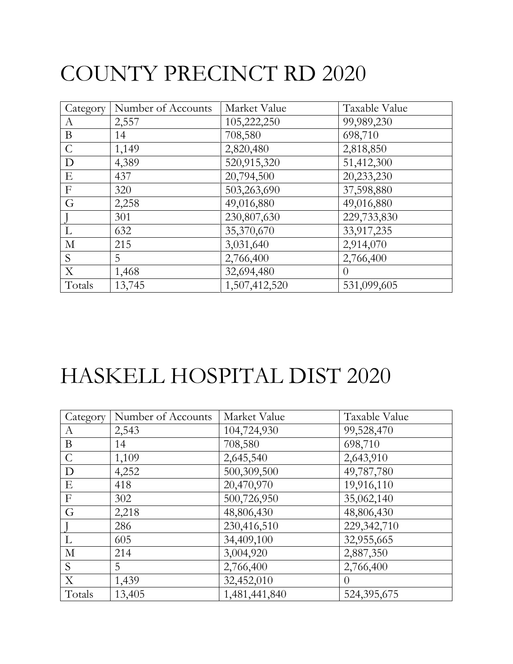# COUNTY PRECINCT RD 2020

| Category      | Number of Accounts | Market Value  | Taxable Value |
|---------------|--------------------|---------------|---------------|
| A             | 2,557              | 105,222,250   | 99,989,230    |
| $\bf{B}$      | 14                 | 708,580       | 698,710       |
| $\mathcal{C}$ | 1,149              | 2,820,480     | 2,818,850     |
| D             | 4,389              | 520,915,320   | 51,412,300    |
| ${\bf E}$     | 437                | 20,794,500    | 20,233,230    |
| $\mathbf{F}$  | 320                | 503,263,690   | 37,598,880    |
| G             | 2,258              | 49,016,880    | 49,016,880    |
|               | 301                | 230,807,630   | 229,733,830   |
| $\mathbf{L}$  | 632                | 35,370,670    | 33,917,235    |
| $\mathbf{M}$  | 215                | 3,031,640     | 2,914,070     |
| S             | 5                  | 2,766,400     | 2,766,400     |
| X             | 1,468              | 32,694,480    | $\theta$      |
| Totals        | 13,745             | 1,507,412,520 | 531,099,605   |

# HASKELL HOSPITAL DIST 2020

| Category         | Number of Accounts | Market Value  | Taxable Value |
|------------------|--------------------|---------------|---------------|
| A                | 2,543              | 104,724,930   | 99,528,470    |
| B                | 14                 | 708,580       | 698,710       |
| $\mathcal{C}$    | 1,109              | 2,645,540     | 2,643,910     |
| D                | 4,252              | 500,309,500   | 49,787,780    |
| E                | 418                | 20,470,970    | 19,916,110    |
| $\boldsymbol{F}$ | 302                | 500,726,950   | 35,062,140    |
| G                | 2,218              | 48,806,430    | 48,806,430    |
|                  | 286                | 230,416,510   | 229,342,710   |
| L                | 605                | 34,409,100    | 32,955,665    |
| $\mathbf{M}$     | 214                | 3,004,920     | 2,887,350     |
| S                | 5                  | 2,766,400     | 2,766,400     |
| X                | 1,439              | 32,452,010    | $\theta$      |
| Totals           | 13,405             | 1,481,441,840 | 524,395,675   |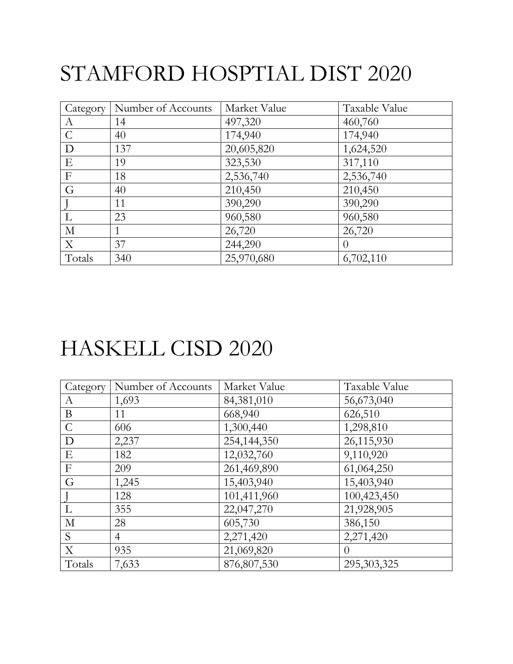# STAMFORD HOSPTIAL DIST 2020

| Category         | Number of Accounts | Market Value | Taxable Value |
|------------------|--------------------|--------------|---------------|
| A                | 14                 | 497,320      | 460,760       |
| $\mathcal{C}$    | 40                 | 174,940      | 174,940       |
| $\mathbf D$      | 137                | 20,605,820   | 1,624,520     |
| E                | 19                 | 323,530      | 317,110       |
| $\boldsymbol{F}$ | 18                 | 2,536,740    | 2,536,740     |
| G                | 40                 | 210,450      | 210,450       |
|                  | 11                 | 390,290      | 390,290       |
| L                | 23                 | 960,580      | 960,580       |
| $\mathbf{M}$     |                    | 26,720       | 26,720        |
| X                | 37                 | 244,290      | $\theta$      |
| Totals           | 340                | 25,970,680   | 6,702,110     |

#### HASKELL CISD 2020

| Category         | Number of Accounts | Market Value | Taxable Value |
|------------------|--------------------|--------------|---------------|
| A                | 1,693              | 84,381,010   | 56,673,040    |
| $\mathbf{B}$     | 11                 | 668,940      | 626,510       |
| $\mathcal{C}$    | 606                | 1,300,440    | 1,298,810     |
| D                | 2,237              | 254,144,350  | 26,115,930    |
| E                | 182                | 12,032,760   | 9,110,920     |
| $\boldsymbol{F}$ | 209                | 261,469,890  | 61,064,250    |
| G                | 1,245              | 15,403,940   | 15,403,940    |
|                  | 128                | 101,411,960  | 100,423,450   |
| L                | 355                | 22,047,270   | 21,928,905    |
| $\mathbf{M}$     | 28                 | 605,730      | 386,150       |
| S                | $\overline{4}$     | 2,271,420    | 2,271,420     |
| X                | 935                | 21,069,820   | $\theta$      |
| Totals           | 7,633              | 876,807,530  | 295,303,325   |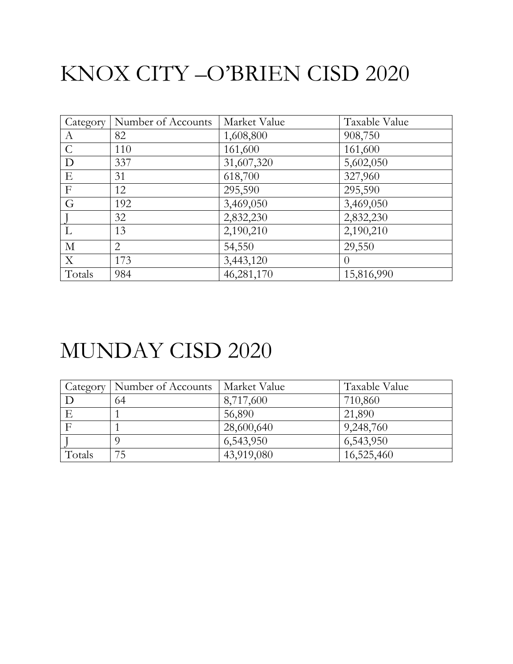# KNOX CITY –O'BRIEN CISD 2020

| Category         | Number of Accounts | Market Value | Taxable Value |
|------------------|--------------------|--------------|---------------|
| $\boldsymbol{A}$ | 82                 | 1,608,800    | 908,750       |
| $\mathcal{C}$    | 110                | 161,600      | 161,600       |
| D                | 337                | 31,607,320   | 5,602,050     |
| E                | 31                 | 618,700      | 327,960       |
| $\mathbf F$      | 12                 | 295,590      | 295,590       |
| G                | 192                | 3,469,050    | 3,469,050     |
|                  | 32                 | 2,832,230    | 2,832,230     |
| L                | 13                 | 2,190,210    | 2,190,210     |
| M                | $\overline{2}$     | 54,550       | 29,550        |
| X                | 173                | 3,443,120    | $\left($      |
| Totals           | 984                | 46,281,170   | 15,816,990    |

#### MUNDAY CISD 2020

| Category | Number of Accounts | Market Value | Taxable Value |
|----------|--------------------|--------------|---------------|
|          | 64                 | 8,717,600    | 710,860       |
|          |                    | 56,890       | 21,890        |
|          |                    | 28,600,640   | 9,248,760     |
|          |                    | 6,543,950    | 6,543,950     |
| Totals   | 75                 | 43,919,080   | 16,525,460    |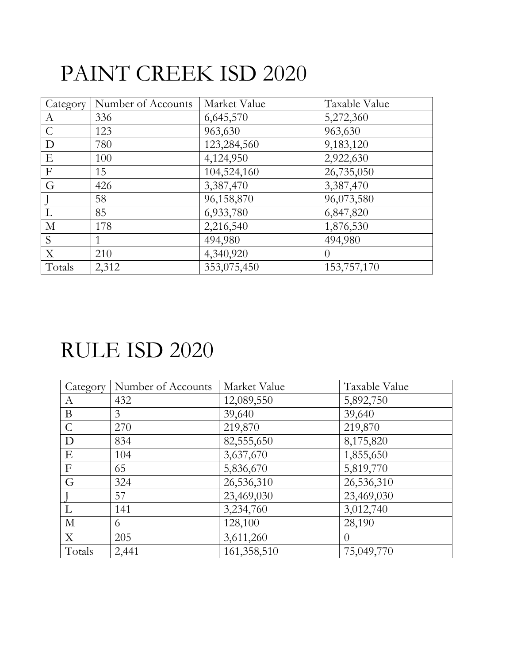## PAINT CREEK ISD 2020

| Category      | Number of Accounts | Market Value | Taxable Value |
|---------------|--------------------|--------------|---------------|
| A             | 336                | 6,645,570    | 5,272,360     |
| $\mathcal{C}$ | 123                | 963,630      | 963,630       |
| D             | 780                | 123,284,560  | 9,183,120     |
| E             | 100                | 4,124,950    | 2,922,630     |
| $\mathbf F$   | 15                 | 104,524,160  | 26,735,050    |
| G             | 426                | 3,387,470    | 3,387,470     |
|               | 58                 | 96,158,870   | 96,073,580    |
| L             | 85                 | 6,933,780    | 6,847,820     |
| $\mathbf M$   | 178                | 2,216,540    | 1,876,530     |
| S             |                    | 494,980      | 494,980       |
| X             | 210                | 4,340,920    | $\theta$      |
| Totals        | 2,312              | 353,075,450  | 153,757,170   |

#### RULE ISD 2020

| Category       | Number of Accounts | Market Value | Taxable Value |
|----------------|--------------------|--------------|---------------|
| А              | 432                | 12,089,550   | 5,892,750     |
| B              | 3                  | 39,640       | 39,640        |
| $\mathcal{C}$  | 270                | 219,870      | 219,870       |
| D              | 834                | 82,555,650   | 8,175,820     |
| E              | 104                | 3,637,670    | 1,855,650     |
| $\overline{F}$ | 65                 | 5,836,670    | 5,819,770     |
| G              | 324                | 26,536,310   | 26,536,310    |
|                | 57                 | 23,469,030   | 23,469,030    |
| L              | 141                | 3,234,760    | 3,012,740     |
| $\mathbf{M}$   | 6                  | 128,100      | 28,190        |
| X              | 205                | 3,611,260    | $\theta$      |
| Totals         | 2,441              | 161,358,510  | 75,049,770    |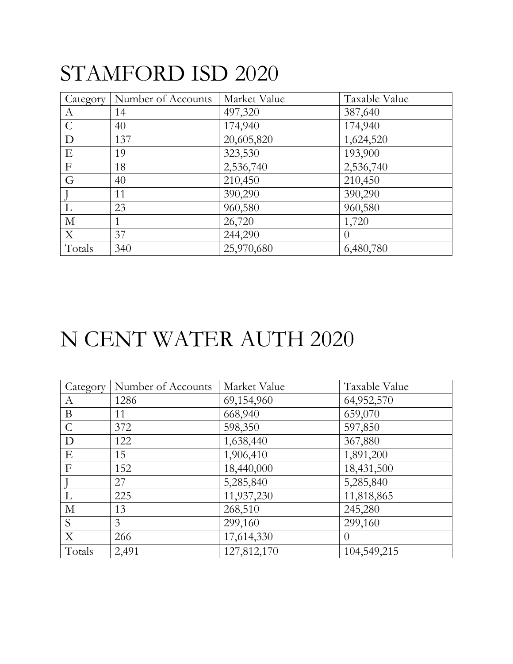### STAMFORD ISD 2020

| Category         | Number of Accounts | Market Value | Taxable Value |
|------------------|--------------------|--------------|---------------|
| A                | 14                 | 497,320      | 387,640       |
| $\mathcal{C}$    | 40                 | 174,940      | 174,940       |
| D                | 137                | 20,605,820   | 1,624,520     |
| Ε                | 19                 | 323,530      | 193,900       |
| $\boldsymbol{F}$ | 18                 | 2,536,740    | 2,536,740     |
| G                | 40                 | 210,450      | 210,450       |
|                  | 11                 | 390,290      | 390,290       |
| L                | 23                 | 960,580      | 960,580       |
| М                |                    | 26,720       | 1,720         |
| X                | 37                 | 244,290      | $\theta$      |
| Totals           | 340                | 25,970,680   | 6,480,780     |

### N CENT WATER AUTH 2020

| Category      | Number of Accounts | Market Value | Taxable Value    |
|---------------|--------------------|--------------|------------------|
| А             | 1286               | 69,154,960   | 64,952,570       |
| B             | 11                 | 668,940      | 659,070          |
| $\mathcal{C}$ | 372                | 598,350      | 597,850          |
| D             | 122                | 1,638,440    | 367,880          |
| Ε             | 15                 | 1,906,410    | 1,891,200        |
| $\mathbf{F}$  | 152                | 18,440,000   | 18,431,500       |
|               | 27                 | 5,285,840    | 5,285,840        |
| L             | 225                | 11,937,230   | 11,818,865       |
| $\mathbf{M}$  | 13                 | 268,510      | 245,280          |
| S             | 3                  | 299,160      | 299,160          |
| X             | 266                | 17,614,330   | $\left( \right)$ |
| Totals        | 2,491              | 127,812,170  | 104,549,215      |